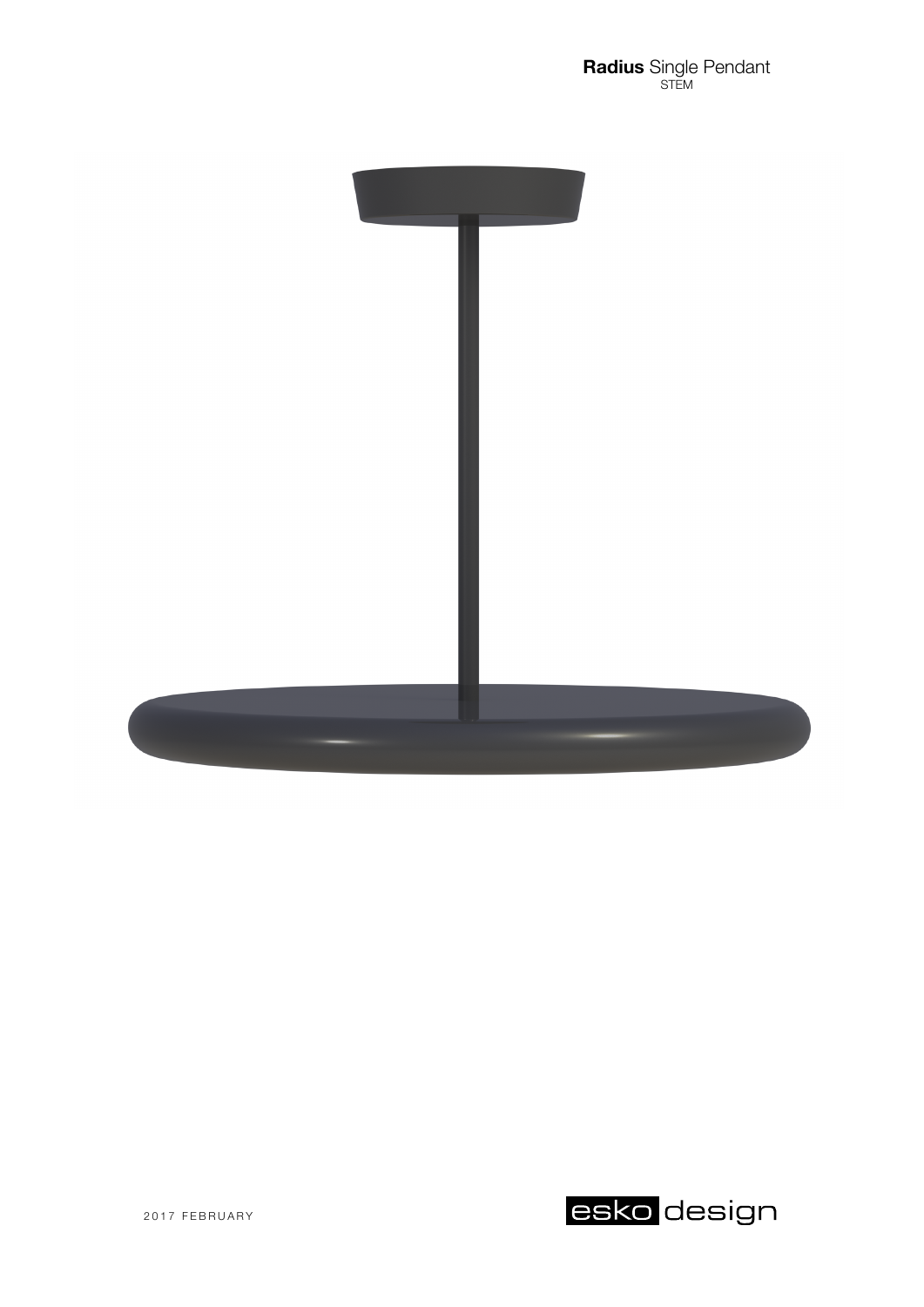